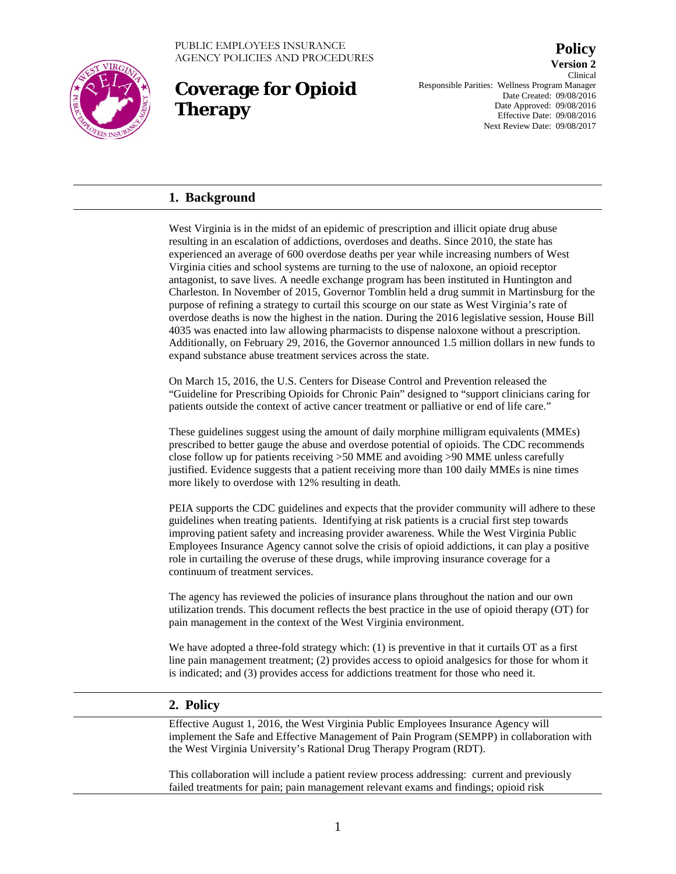

## **Coverage for Opioid Therapy**

**Version 2** Clinical Responsible Parities: Wellness Program Manager Date Created: 09/08/2016 Date Approved: 09/08/2016 Effective Date: 09/08/2016 Next Review Date: 09/08/2017

**Policy**

### **1. Background**

West Virginia is in the midst of an epidemic of prescription and illicit opiate drug abuse resulting in an escalation of addictions, overdoses and deaths. Since 2010, the state has experienced an average of 600 overdose deaths per year while increasing numbers of West Virginia cities and school systems are turning to the use of naloxone, an opioid receptor antagonist, to save lives. A needle exchange program has been instituted in Huntington and Charleston. In November of 2015, Governor Tomblin held a drug summit in Martinsburg for the purpose of refining a strategy to curtail this scourge on our state as West Virginia's rate of overdose deaths is now the highest in the nation. During the 2016 legislative session, House Bill 4035 was enacted into law allowing pharmacists to dispense naloxone without a prescription. Additionally, on February 29, 2016, the Governor announced 1.5 million dollars in new funds to expand substance abuse treatment services across the state.

On March 15, 2016, the U.S. Centers for Disease Control and Prevention released the "Guideline for Prescribing Opioids for Chronic Pain" designed to "support clinicians caring for patients outside the context of active cancer treatment or palliative or end of life care."

These guidelines suggest using the amount of daily morphine milligram equivalents (MMEs) prescribed to better gauge the abuse and overdose potential of opioids. The CDC recommends close follow up for patients receiving >50 MME and avoiding >90 MME unless carefully justified. Evidence suggests that a patient receiving more than 100 daily MMEs is nine times more likely to overdose with 12% resulting in death.

PEIA supports the CDC guidelines and expects that the provider community will adhere to these guidelines when treating patients. Identifying at risk patients is a crucial first step towards improving patient safety and increasing provider awareness. While the West Virginia Public Employees Insurance Agency cannot solve the crisis of opioid addictions, it can play a positive role in curtailing the overuse of these drugs, while improving insurance coverage for a continuum of treatment services.

The agency has reviewed the policies of insurance plans throughout the nation and our own utilization trends. This document reflects the best practice in the use of opioid therapy (OT) for pain management in the context of the West Virginia environment.

We have adopted a three-fold strategy which: (1) is preventive in that it curtails OT as a first line pain management treatment; (2) provides access to opioid analgesics for those for whom it is indicated; and (3) provides access for addictions treatment for those who need it.

#### **2. Policy**

Effective August 1, 2016, the West Virginia Public Employees Insurance Agency will implement the Safe and Effective Management of Pain Program (SEMPP) in collaboration with the West Virginia University's Rational Drug Therapy Program (RDT).

This collaboration will include a patient review process addressing: current and previously failed treatments for pain; pain management relevant exams and findings; opioid risk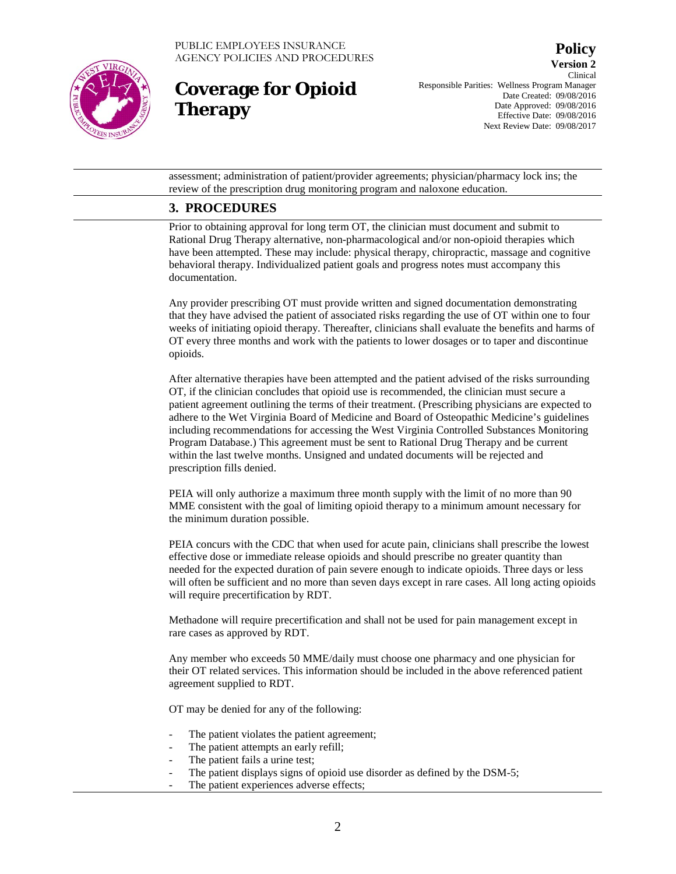

# **Coverage for Opioid Therapy**

**Version 2** Clinical Responsible Parities: Wellness Program Manager Date Created: 09/08/2016 Date Approved: 09/08/2016 Effective Date: 09/08/2016 Next Review Date: 09/08/2017

**Policy**

assessment; administration of patient/provider agreements; physician/pharmacy lock ins; the review of the prescription drug monitoring program and naloxone education.

### **3. PROCEDURES**

Prior to obtaining approval for long term OT, the clinician must document and submit to Rational Drug Therapy alternative, non-pharmacological and/or non-opioid therapies which have been attempted. These may include: physical therapy, chiropractic, massage and cognitive behavioral therapy. Individualized patient goals and progress notes must accompany this documentation.

Any provider prescribing OT must provide written and signed documentation demonstrating that they have advised the patient of associated risks regarding the use of OT within one to four weeks of initiating opioid therapy. Thereafter, clinicians shall evaluate the benefits and harms of OT every three months and work with the patients to lower dosages or to taper and discontinue opioids.

After alternative therapies have been attempted and the patient advised of the risks surrounding OT, if the clinician concludes that opioid use is recommended, the clinician must secure a patient agreement outlining the terms of their treatment. (Prescribing physicians are expected to adhere to the Wet Virginia Board of Medicine and Board of Osteopathic Medicine's guidelines including recommendations for accessing the West Virginia Controlled Substances Monitoring Program Database.) This agreement must be sent to Rational Drug Therapy and be current within the last twelve months. Unsigned and undated documents will be rejected and prescription fills denied.

PEIA will only authorize a maximum three month supply with the limit of no more than 90 MME consistent with the goal of limiting opioid therapy to a minimum amount necessary for the minimum duration possible.

PEIA concurs with the CDC that when used for acute pain, clinicians shall prescribe the lowest effective dose or immediate release opioids and should prescribe no greater quantity than needed for the expected duration of pain severe enough to indicate opioids. Three days or less will often be sufficient and no more than seven days except in rare cases. All long acting opioids will require precertification by RDT.

Methadone will require precertification and shall not be used for pain management except in rare cases as approved by RDT.

Any member who exceeds 50 MME/daily must choose one pharmacy and one physician for their OT related services. This information should be included in the above referenced patient agreement supplied to RDT.

OT may be denied for any of the following:

- The patient violates the patient agreement;
- The patient attempts an early refill;
- The patient fails a urine test;
- The patient displays signs of opioid use disorder as defined by the DSM-5;
- The patient experiences adverse effects;